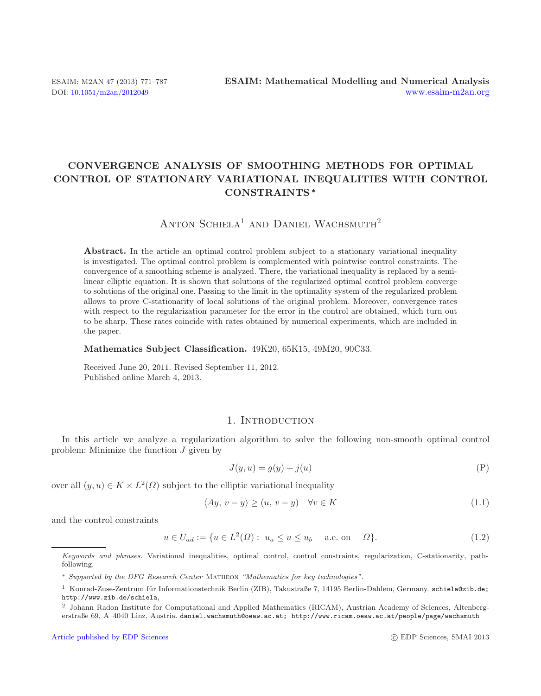# **CONVERGENCE ANALYSIS OF SMOOTHING METHODS FOR OPTIMAL CONTROL OF STATIONARY VARIATIONAL INEQUALITIES WITH CONTROL CONSTRAINTS** *∗*

# ANTON SCHIELA<sup>1</sup> AND DANIEL WACHSMUTH<sup>2</sup>

Abstract. In the article an optimal control problem subject to a stationary variational inequality is investigated. The optimal control problem is complemented with pointwise control constraints. The convergence of a smoothing scheme is analyzed. There, the variational inequality is replaced by a semilinear elliptic equation. It is shown that solutions of the regularized optimal control problem converge to solutions of the original one. Passing to the limit in the optimality system of the regularized problem allows to prove C-stationarity of local solutions of the original problem. Moreover, convergence rates with respect to the regularization parameter for the error in the control are obtained, which turn out to be sharp. These rates coincide with rates obtained by numerical experiments, which are included in the paper.

#### <span id="page-0-0"></span>**Mathematics Subject Classification.** 49K20, 65K15, 49M20, 90C33.

<span id="page-0-1"></span>Received June 20, 2011. Revised September 11, 2012. Published online March 4, 2013.

## 1. INTRODUCTION

In this article we analyze a regularization algorithm to solve the following non-smooth optimal control problem: Minimize the function J given by

$$
J(y, u) = g(y) + j(u)
$$
 (P)

over all  $(y, u) \in K \times L^2(\Omega)$  subject to the elliptic variational inequality

$$
\langle Ay, v - y \rangle \ge (u, v - y) \quad \forall v \in K \tag{1.1}
$$

and the control constraints

$$
u \in U_{ad} := \{ u \in L^2(\Omega) : u_a \le u \le u_b \text{ a.e. on } \Omega \}.
$$
 (1.2)

Keywords and phrases. Variational inequalities, optimal control, control constraints, regularization, C-stationarity, pathfollowing.

<sup>∗</sup> Supported by the DFG Research Center Matheon "Mathematics for key technologies".

 $1$  Konrad-Zuse-Zentrum für Informationstechnik Berlin (ZIB), Takustraße 7, 14195 Berlin-Dahlem, Germany. schiela@zib.de; http://www.zib.de/schiela,

<sup>2</sup> Johann Radon Institute for Computational and Applied Mathematics (RICAM), Austrian Academy of Sciences, Altenbergerstraße 69, A–4040 Linz, Austria. daniel.wachsmuth@oeaw.ac.at; http://www.ricam.oeaw.ac.at/people/page/wachsmuth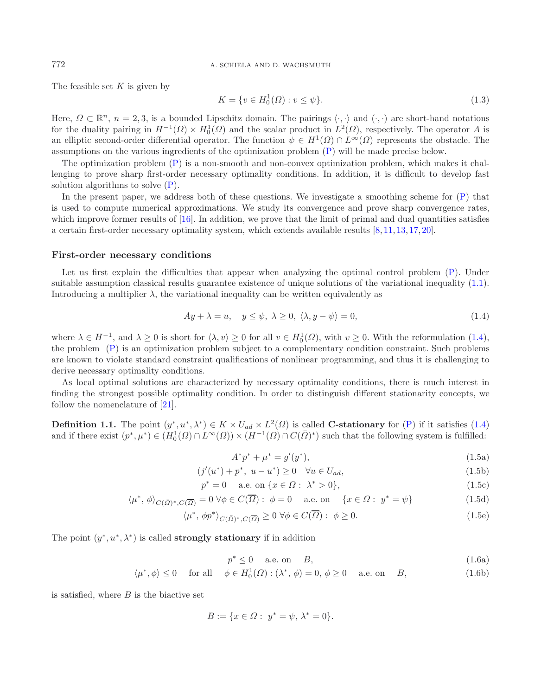## <span id="page-1-8"></span>772 A. SCHIELA AND D. WACHSMUTH

The feasible set  $K$  is given by

<span id="page-1-0"></span>
$$
K = \{ v \in H_0^1(\Omega) : v \le \psi \}. \tag{1.3}
$$

Here,  $\Omega \subset \mathbb{R}^n$ ,  $n = 2, 3$ , is a bounded Lipschitz domain. The pairings  $\langle \cdot, \cdot \rangle$  and  $(\cdot, \cdot)$  are short-hand notations for the duality pairing in  $H^{-1}(\Omega) \times H_0^1(\Omega)$  and the scalar product in  $L^2(\Omega)$ , respectively. The operator A is<br>an elliptic second-order differential operator. The function  $\psi \in H^1(\Omega) \cap L^{\infty}(\Omega)$  represents the obstac an elliptic second-order differential operator. The function  $\psi \in H^1(\Omega) \cap L^{\infty}(\Omega)$  represents the obstacle. The assumptions on the various ingredients of the optimization problem [\(P\)](#page-0-0) will be made precise below.

The optimization problem [\(P\)](#page-0-0) is a non-smooth and non-convex optimization problem, which makes it challenging to prove sharp first-order necessary optimality conditions. In addition, it is difficult to develop fast solution algorithms to solve  $(P)$ .

In the present paper, we address both of these questions. We investigate a smoothing scheme for  $(P)$  that is used to compute numerical approximations. We study its convergence and prove sharp convergence rates, which improve former results of [\[16\]](#page-16-0). In addition, we prove that the limit of primal and dual quantities satisfies a certain first-order necessary optimality system, which extends available results [\[8](#page-16-1), [11](#page-16-2), [13](#page-16-3), [17](#page-16-4), [20](#page-16-5)].

## **First-order necessary conditions**

<span id="page-1-4"></span>Let us first explain the difficulties that appear when analyzing the optimal control problem  $(P)$ . Under suitable assumption classical results guarantee existence of unique solutions of the variational inequality [\(1.1\)](#page-0-0). Introducing a multiplier  $\lambda$ , the variational inequality can be written equivalently as

<span id="page-1-7"></span><span id="page-1-5"></span>
$$
Ay + \lambda = u, \quad y \le \psi, \ \lambda \ge 0, \ \langle \lambda, y - \psi \rangle = 0,\tag{1.4}
$$

where  $\lambda \in H^{-1}$ , and  $\lambda \geq 0$  is short for  $\langle \lambda, v \rangle \geq 0$  for all  $v \in H_0^1(\Omega)$ , with  $v \geq 0$ . With the reformulation [\(1.4\)](#page-1-0), the problem [\(P\)](#page-0-0) is an optimization problem subject to a complementary condition constraint. Such problems are known to violate standard constraint qualifications of nonlinear programming, and thus it is challenging to derive necessary optimality conditions.

As local optimal solutions are characterized by necessary optimality conditions, there is much interest in finding the strongest possible optimality condition. In order to distinguish different stationarity concepts, we follow the nomenclature of [\[21\]](#page-16-6).

**Definition 1.1.** The point  $(y^*, u^*, \lambda^*) \in K \times U_{ad} \times L^2(\Omega)$  is called **C-stationary** for [\(P\)](#page-0-0) if it satisfies [\(1.4\)](#page-1-0) and if there exist  $(p^*, \mu^*) \in (H_0^1(\Omega) \cap L^{\infty}(\Omega)) \times (H^{-1}(\Omega) \cap C(\overline{\Omega})^*)$  such that the following system is fulfilled:

<span id="page-1-6"></span><span id="page-1-3"></span><span id="page-1-2"></span><span id="page-1-1"></span>
$$
A^*p^* + \mu^* = g'(y^*),\tag{1.5a}
$$

$$
(j'(u^*) + p^*, u - u^*) \ge 0 \quad \forall u \in U_{ad},
$$
\n
$$
(1.5b)
$$
\n
$$
(1.5c)
$$

$$
p^* = 0 \quad \text{a.e. on } \{x \in \Omega : \lambda^* > 0\},\tag{1.5c}
$$

$$
\langle \mu^*, \phi \rangle_{C(\bar{\Omega})^*, C(\overline{\Omega})} = 0 \,\forall \phi \in C(\overline{\Omega}) : \phi = 0 \quad \text{a.e. on} \quad \{x \in \Omega : y^* = \psi\}
$$
\n(1.5d)

$$
\langle \mu^*, \phi p^* \rangle_{C(\bar{\Omega})^*, C(\overline{\Omega})} \ge 0 \,\forall \phi \in C(\overline{\Omega}) : \phi \ge 0.
$$
\n(1.5e)

The point  $(y^*, u^*, \lambda^*)$  is called **strongly stationary** if in addition

$$
p^* \le 0 \quad \text{a.e. on} \quad B,\tag{1.6a}
$$

$$
\langle \mu^*, \phi \rangle \le 0 \quad \text{for all} \quad \phi \in H_0^1(\Omega) : (\lambda^*, \phi) = 0, \phi \ge 0 \quad \text{a.e. on} \quad B,
$$
 (1.6b)

is satisfied, where  $B$  is the biactive set

$$
B := \{ x \in \Omega : \ y^* = \psi, \ \lambda^* = 0 \}.
$$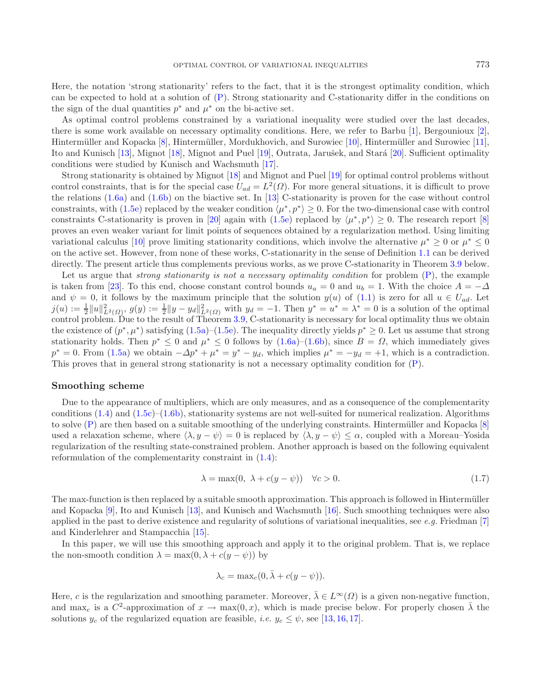Here, the notation 'strong stationarity' refers to the fact, that it is the strongest optimality condition, which can be expected to hold at a solution of [\(P\)](#page-0-0). Strong stationarity and C-stationarity differ in the conditions on the sign of the dual quantities  $p^*$  and  $\mu^*$  on the bi-active set.

As optimal control problems constrained by a variational inequality were studied over the last decades, there is some work available on necessary optimality conditions. Here, we refer to Barbu [\[1\]](#page-16-7), Bergounioux [\[2](#page-16-8)], Hintermüller and Kopacka [\[8\]](#page-16-1), Hintermüller, Mordukhovich, and Surowiec [\[10\]](#page-16-9), Hintermüller and Surowiec [\[11](#page-16-2)], Ito and Kunisch [\[13](#page-16-3)], Mignot [\[18](#page-16-10)], Mignot and Puel [\[19\]](#page-16-11), Outrata, Jarušek, and Stará [\[20](#page-16-5)]. Sufficient optimality conditions were studied by Kunisch and Wachsmuth [\[17](#page-16-4)].

Strong stationarity is obtained by Mignot [\[18](#page-16-10)] and Mignot and Puel [\[19\]](#page-16-11) for optimal control problems without control constraints, that is for the special case  $U_{ad} = L^2(\Omega)$ . For more general situations, it is difficult to prove the relations [\(1.6a\)](#page-1-1) and [\(1.6b\)](#page-1-2) on the biactive set. In [\[13](#page-16-3)] C-stationarity is proven for the case without control constraints, with [\(1.5e\)](#page-1-3) replaced by the weaker condition  $\langle \mu^*, p^* \rangle \geq 0$ . For the two-dimensional case with control constraints C-stationarity is proven in [\[20\]](#page-16-5) again with [\(1.5e\)](#page-1-3) replaced by  $\langle \mu^*, p^* \rangle \geq 0$ . The research report [\[8\]](#page-16-1) proves an even weaker variant for limit points of sequences obtained by a regularization method. Using limiting variational calculus [\[10](#page-16-9)] prove limiting stationarity conditions, which involve the alternative  $\mu^* \geq 0$  or  $\mu^* \leq 0$ on the active set. However, from none of these works, C-stationarity in the sense of Definition [1.1](#page-1-4) can be derived directly. The present article thus complements previous works, as we prove C-stationarity in Theorem [3.9](#page-12-0) below.

Let us argue that *strong stationarity is not a necessary optimality condition* for problem [\(P\)](#page-0-0), the example is taken from [\[23](#page-16-12)]. To this end, choose constant control bounds  $u_a = 0$  and  $u_b = 1$ . With the choice  $A = -\Delta$ and  $\psi = 0$ , it follows by the maximum principle that the solution  $y(u)$  of [\(1.1\)](#page-0-0) is zero for all  $u \in U_{ad}$ . Let  $j(u) := \frac{1}{2} ||u||_{L^2(\Omega)}^2$ ,  $g(y) := \frac{1}{2} ||y - y_d||_{L^2(\Omega)}^2$  with  $y_d = -1$ . Then  $y^* = u^* = \lambda^* = 0$  is a solution of the optimal control problem. Due to the result of Theorem [3.9,](#page-12-0) C-stationarity is necessary for local optimality thus we obtain the existence of  $(p^*, \mu^*)$  satisfying  $(1.5a)$ – $(1.5e)$ . The inequality directly yields  $p^* \geq 0$ . Let us assume that strong stationarity holds. Then  $p^* \leq 0$  and  $\mu^* \leq 0$  follows by  $(1.6a)$ – $(1.6b)$ , since  $B = \Omega$ , which immediately gives  $p^* = 0$ . From [\(1.5a\)](#page-1-5) we obtain  $-\Delta p^* + \mu^* = y^* - y_d$ , which implies  $\mu^* = -y_d = +1$ , which is a contradiction. This proves that in general strong stationarity is not a necessary optimality condition for [\(P\)](#page-0-0).

#### **Smoothing scheme**

Due to the appearance of multipliers, which are only measures, and as a consequence of the complementarity conditions  $(1.4)$  and  $(1.5c)$ – $(1.6b)$ , stationarity systems are not well-suited for numerical realization. Algorithms to solve  $(P)$  are then based on a suitable smoothing of the underlying constraints. Hintermüller and Kopacka  $[8]$ used a relaxation scheme, where  $\langle \lambda, y - \psi \rangle = 0$  is replaced by  $\langle \lambda, y - \psi \rangle \leq \alpha$ , coupled with a Moreau–Yosida regularization of the resulting state-constrained problem. Another approach is based on the following equivalent reformulation of the complementarity constraint in [\(1.4\)](#page-1-0):

$$
\lambda = \max(0, \lambda + c(y - \psi)) \quad \forall c > 0.
$$
\n(1.7)

The max-function is then replaced by a suitable smooth approximation. This approach is followed in Hintermüller and Kopacka [\[9\]](#page-16-13), Ito and Kunisch [\[13](#page-16-3)], and Kunisch and Wachsmuth [\[16](#page-16-0)]. Such smoothing techniques were also applied in the past to derive existence and regularity of solutions of variational inequalities, see *e.g.* Friedman [\[7\]](#page-16-14) and Kinderlehrer and Stampacchia [\[15\]](#page-16-15).

In this paper, we will use this smoothing approach and apply it to the original problem. That is, we replace the non-smooth condition  $\lambda = \max(0, \lambda + c(y - \psi))$  by

$$
\lambda_c = \max_c(0, \bar{\lambda} + c(y - \psi)).
$$

Here, c is the regularization and smoothing parameter. Moreover,  $\overline{\lambda} \in L^{\infty}(\Omega)$  is a given non-negative function, and max<sub>c</sub> is a  $C^2$ -approximation of  $x \to \max(0, x)$ , which is made precise below. For properly chosen  $\overline{\lambda}$  the solutions  $y_c$  of the regularized equation are feasible, *i.e.*  $y_c \le \psi$ , see [\[13,](#page-16-3) [16,](#page-16-0) [17\]](#page-16-4).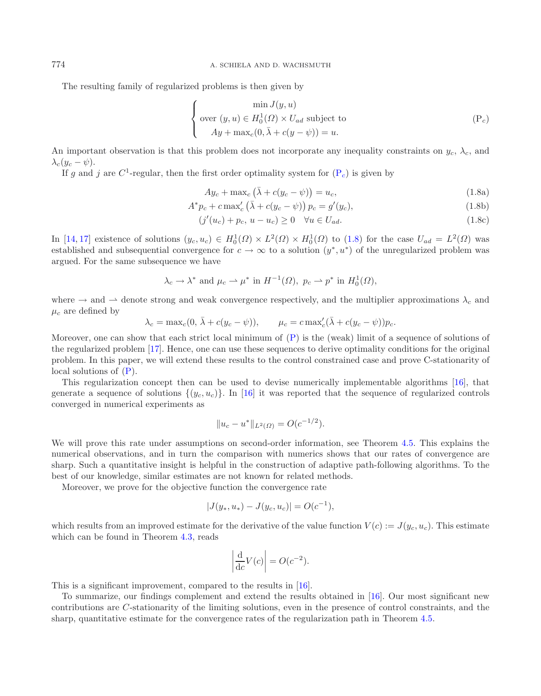The resulting family of regularized problems is then given by

<span id="page-3-1"></span><span id="page-3-0"></span>
$$
\begin{cases}\n\min J(y, u) \\
\text{over } (y, u) \in H_0^1(\Omega) \times U_{ad} \text{ subject to} \\
Ay + \max_c(0, \bar{\lambda} + c(y - \psi)) = u.\n\end{cases} \tag{P_c}
$$

An important observation is that this problem does not incorporate any inequality constraints on  $y_c$ ,  $\lambda_c$ , and  $\lambda_c(y_c - \psi)$ .

If g and j are  $C^1$ -regular, then the first order optimality system for  $(P_c)$  $(P_c)$  is given by

$$
Ay_c + \max_c \left(\bar{\lambda} + c(y_c - \psi)\right) = u_c,
$$
\n(1.8a)

$$
A^* p_c + c \max_c' (\bar{\lambda} + c(y_c - \psi)) p_c = g'(y_c),
$$
\n(1.8b)

$$
(j'(u_c) + p_c, u - u_c) \ge 0 \quad \forall u \in U_{ad}.\tag{1.8c}
$$

In [\[14,](#page-16-16) [17\]](#page-16-4) existence of solutions  $(y_c, u_c) \in H_0^1(\Omega) \times L^2(\Omega) \times H_0^1(\Omega)$  to [\(1.8\)](#page-3-0) for the case  $U_{ad} = L^2(\Omega)$  was<br>established and subsequential convergence for  $c \to \infty$  to a solution  $(u^*, u^*)$  of the unregularized problem wa established and subsequential convergence for  $c \to \infty$  to a solution  $(y^*, u^*)$  of the unregularized problem was argued. For the same subsequence we have

$$
\lambda_c \to \lambda^*
$$
 and  $\mu_c \to \mu^*$  in  $H^{-1}(\Omega)$ ,  $p_c \to p^*$  in  $H_0^1(\Omega)$ ,

where  $\rightarrow$  and  $\rightarrow$  denote strong and weak convergence respectively, and the multiplier approximations  $\lambda_c$  and  $\mu_c$  are defined by

$$
\lambda_c = \max_c(0, \bar{\lambda} + c(y_c - \psi)), \qquad \mu_c = c \max'_c(\bar{\lambda} + c(y_c - \psi))p_c.
$$

Moreover, one can show that each strict local minimum of [\(P\)](#page-0-0) is the (weak) limit of a sequence of solutions of the regularized problem [\[17](#page-16-4)]. Hence, one can use these sequences to derive optimality conditions for the original problem. In this paper, we will extend these results to the control constrained case and prove C-stationarity of local solutions of  $(P)$ .

This regularization concept then can be used to devise numerically implementable algorithms [\[16](#page-16-0)], that generate a sequence of solutions  $\{(y_c, u_c)\}\$ . In [\[16](#page-16-0)] it was reported that the sequence of regularized controls converged in numerical experiments as

$$
||u_c - u^*||_{L^2(\Omega)} = O(c^{-1/2}).
$$

We will prove this rate under assumptions on second-order information, see Theorem [4.5.](#page-14-0) This explains the numerical observations, and in turn the comparison with numerics shows that our rates of convergence are sharp. Such a quantitative insight is helpful in the construction of adaptive path-following algorithms. To the best of our knowledge, similar estimates are not known for related methods.

Moreover, we prove for the objective function the convergence rate

$$
|J(y_*, u_*) - J(y_c, u_c)| = O(c^{-1}),
$$

which results from an improved estimate for the derivative of the value function  $V(c) := J(y_c, u_c)$ . This estimate which can be found in Theorem [4.3,](#page-13-0) reads

$$
\left|\frac{\mathrm{d}}{\mathrm{d}c}V(c)\right| = O(c^{-2}).
$$

This is a significant improvement, compared to the results in [\[16\]](#page-16-0).

To summarize, our findings complement and extend the results obtained in [\[16](#page-16-0)]. Our most significant new contributions are C-stationarity of the limiting solutions, even in the presence of control constraints, and the sharp, quantitative estimate for the convergence rates of the regularization path in Theorem [4.5.](#page-14-0)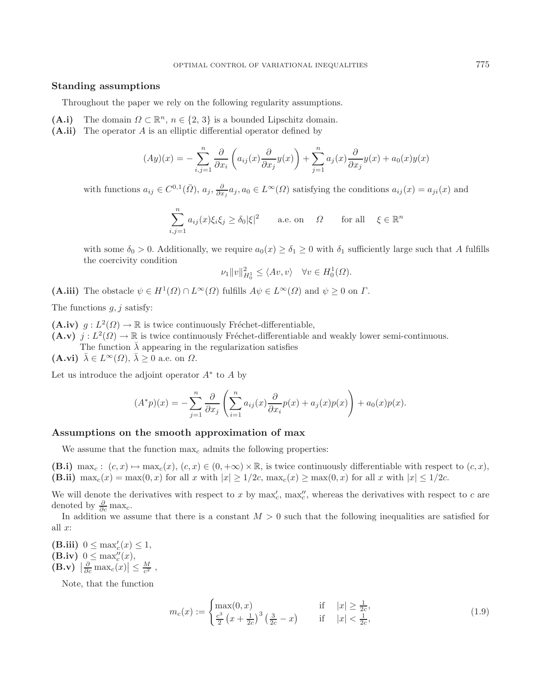## **Standing assumptions**

Throughout the paper we rely on the following regularity assumptions.

- (A.i) The domain  $\Omega \subset \mathbb{R}^n$ ,  $n \in \{2, 3\}$  is a bounded Lipschitz domain.
- **(A.ii)** The operator A is an elliptic differential operator defined by

$$
(Ay)(x) = -\sum_{i,j=1}^{n} \frac{\partial}{\partial x_i} \left( a_{ij}(x) \frac{\partial}{\partial x_j} y(x) \right) + \sum_{j=1}^{n} a_j(x) \frac{\partial}{\partial x_j} y(x) + a_0(x) y(x)
$$

with functions  $a_{ij} \in C^{0,1}(\bar{\Omega})$ ,  $a_j$ ,  $\frac{\partial}{\partial x_j} a_j$ ,  $a_0 \in L^{\infty}(\Omega)$  satisfying the conditions  $a_{ij}(x) = a_{ji}(x)$  and

$$
\sum_{i,j=1}^{n} a_{ij}(x)\xi_i\xi_j \ge \delta_0|\xi|^2 \quad \text{a.e. on} \quad \Omega \quad \text{for all} \quad \xi \in \mathbb{R}^n
$$

with some  $\delta_0 > 0$ . Additionally, we require  $a_0(x) \geq \delta_1 \geq 0$  with  $\delta_1$  sufficiently large such that A fulfills the coercivity condition

$$
\nu_1 \|v\|_{H_0^1}^2 \le \langle Av, v \rangle \quad \forall v \in H_0^1(\Omega).
$$

**(A.iii)** The obstacle  $\psi \in H^1(\Omega) \cap L^\infty(\Omega)$  fulfills  $A\psi \in L^\infty(\Omega)$  and  $\psi \geq 0$  on  $\Gamma$ .

The functions  $q, j$  satisfy:

 $(A.\mathbf{iv})$   $g: L^2(\Omega) \to \mathbb{R}$  is twice continuously Fréchet-differentiable,  $(A.v)$  j :  $L^2(\Omega) \to \mathbb{R}$  is twice continuously Fréchet-differentiable and weakly lower semi-continuous. The function  $\bar{\lambda}$  appearing in the regularization satisfies

 $(A.vi)$   $\bar{\lambda} \in L^{\infty}(\Omega)$ ,  $\bar{\lambda} \geq 0$  a.e. on  $\Omega$ .

Let us introduce the adjoint operator  $A^*$  to A by

$$
(A^*p)(x) = -\sum_{j=1}^n \frac{\partial}{\partial x_j} \left( \sum_{i=1}^n a_{ij}(x) \frac{\partial}{\partial x_i} p(x) + a_j(x) p(x) \right) + a_0(x) p(x).
$$

### **Assumptions on the smooth approximation of max**

We assume that the function  $\max_c$  admits the following properties:

**(B.i)** max<sub>c</sub>:  $(c, x) \mapsto \max_c(x)$ ,  $(c, x) \in (0, +\infty) \times \mathbb{R}$ , is twice continuously differentiable with respect to  $(c, x)$ , **(B.ii)**  $\max_c(x) = \max(0, x)$  for all x with  $|x| \geq 1/2c$ ,  $\max_c(x) \geq \max(0, x)$  for all x with  $|x| \leq 1/2c$ .

We will denote the derivatives with respect to x by  $\max'_{c}$ ,  $\max''_{c}$ , whereas the derivatives with respect to c are<br>denoted by  $\frac{\partial}{\partial s}$  max denoted by  $\frac{\partial}{\partial c} \max_c$ .

In addition we assume that there is a constant  $M > 0$  such that the following inequalities are satisfied for all  $x$ :

 $(\mathbf{B}.iii) \ \ 0 \leq \max_c'(x) \leq 1,$ <br>  $(\mathbf{B} \text{ iv}) \ \ 0 \leq \max_c''(x)$ **(B.iv)**  $0 \le \max_{c}'(x)$ ,<br>**(B.v)**  $\left| \frac{\partial}{\partial x} \right| \le \max_{c'}(x)$ **(B.v)**  $\frac{\partial}{\partial c} \max_c(x) \leq \frac{M}{c^2}$ ,

Note, that the function

$$
m_c(x) := \begin{cases} \max(0, x) & \text{if } |x| \ge \frac{1}{2c}, \\ \frac{c^3}{2} \left( x + \frac{1}{2c} \right)^3 \left( \frac{3}{2c} - x \right) & \text{if } |x| < \frac{1}{2c}, \end{cases}
$$
(1.9)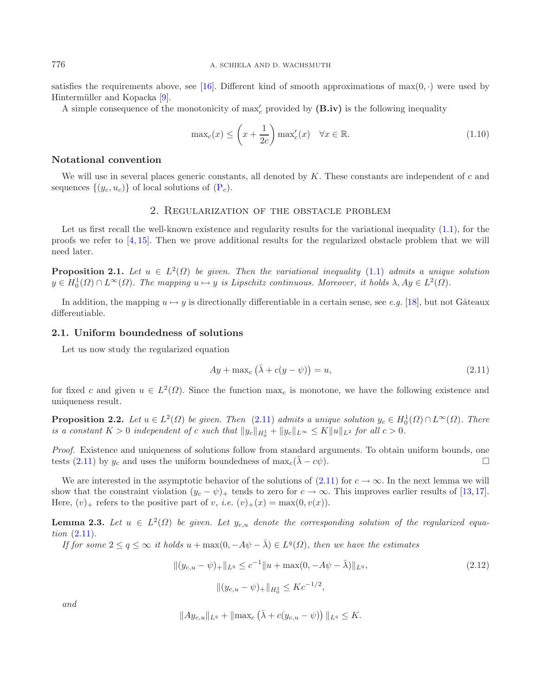satisfies the requirements above, see [\[16](#page-16-0)]. Different kind of smooth approximations of max $(0, \cdot)$  were used by Hintermüller and Kopacka [\[9](#page-16-13)].

A simple consequence of the monotonicity of max <sup>c</sup> provided by **(B.iv)** is the following inequality

<span id="page-5-2"></span>
$$
\max_{c}(x) \le \left(x + \frac{1}{2c}\right) \max_{c}'(x) \quad \forall x \in \mathbb{R}.\tag{1.10}
$$

## **Notational convention**

<span id="page-5-4"></span>We will use in several places generic constants, all denoted by K. These constants are independent of c and sequences  $\{(y_c, u_c)\}\)$  of local solutions of  $(P_c)$  $(P_c)$ .

## <span id="page-5-0"></span>2. Regularization of the obstacle problem

Let us first recall the well-known existence and regularity results for the variational inequality  $(1.1)$ , for the proofs we refer to [\[4](#page-16-17), [15\]](#page-16-15). Then we prove additional results for the regularized obstacle problem that we will need later.

**Proposition 2.1.** *Let*  $u \in L^2(\Omega)$  *be given. Then the variational inequality* [\(1.1\)](#page-0-0) *admits a unique solution*  $y \in H_0^1(\Omega) \cap L^{\infty}(\Omega)$ . The mapping  $u \mapsto y$  is Lipschitz continuous. Moreover, it holds  $\lambda, Ay \in L^2(\Omega)$ .

In addition, the mapping  $u \mapsto y$  is directionally differentiable in a certain sense, see *e.g.* [\[18\]](#page-16-10), but not Gâteaux differentiable.

#### **2.1. Uniform boundedness of solutions**

Let us now study the regularized equation

<span id="page-5-1"></span>
$$
Ay + \max_c (\bar{\lambda} + c(y - \psi)) = u,
$$
\n(2.11)

for fixed c and given  $u \in L^2(\Omega)$ . Since the function max<sub>c</sub> is monotone, we have the following existence and uniqueness result.

**Proposition 2.2.** *Let*  $u \in L^2(\Omega)$  *be given. Then* [\(2.11\)](#page-5-0) *admits a unique solution*  $y_c \in H_0^1(\Omega) \cap L^{\infty}(\Omega)$ *. There is a constant*  $K > 0$  *independent of c such that*  $||u||_{\infty} + ||u||_{L^{\infty}} \leq K ||u||_{\infty}$  for all  $c >$ *is a constant*  $K > 0$  *independent of c such that*  $||y_c||_{H_0^1} + ||y_c||_{L^{\infty}} \le K||u||_{L^2}$  for all  $c > 0$ .

*Proof.* Existence and uniqueness of solutions follow from standard arguments. To obtain uniform bounds, one tests [\(2.11\)](#page-5-0) by  $y_c$  and uses the uniform boundedness of max $_c(\lambda - c\psi)$ .

We are interested in the asymptotic behavior of the solutions of  $(2.11)$  for  $c \to \infty$ . In the next lemma we will show that the constraint violation  $(y_c - \psi)_+$  tends to zero for  $c \to \infty$ . This improves earlier results of [\[13,](#page-16-3)[17](#page-16-4)]. Here,  $(v)_+$  refers to the positive part of v, *i.e.*  $(v)_+(x) = \max(0, v(x)).$ 

<span id="page-5-3"></span>**Lemma 2.3.** Let  $u \in L^2(\Omega)$  be given. Let  $y_{c,u}$  denote the corresponding solution of the regularized equa*tion* [\(2.11\)](#page-5-0)*.*

*If for some*  $2 \le q \le \infty$  *it holds*  $u + \max(0, -A\psi - \overline{\lambda}) \in L^q(\Omega)$ *, then we have the estimates* 

$$
||(y_{c,u} - \psi)_+||_{L^q} \le c^{-1}||u + \max(0, -A\psi - \bar{\lambda})||_{L^q},
$$
  

$$
||(y_{c,u} - \psi)_+||_{H_0^1} \le Kc^{-1/2},
$$
\n(2.12)

*and*

$$
||Ay_{c,u}||_{L^q} + ||\max_c (\bar{\lambda} + c(y_{c,u} - \psi))||_{L^q} \leq K.
$$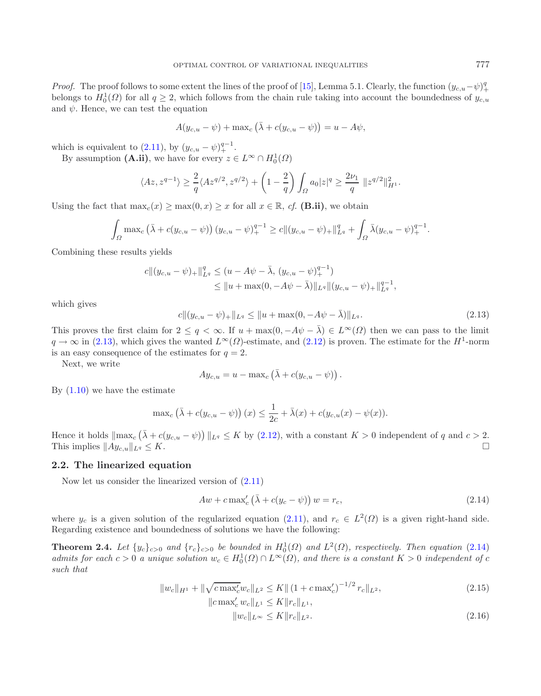*Proof.* The proof follows to some extent the lines of the proof of [\[15\]](#page-16-15), Lemma 5.1. Clearly, the function  $(y_{c,u}-\psi)^q$ + belongs to  $H_0^1(\Omega)$  for all  $q \geq 2$ , which follows from the chain rule taking into account the boundedness of  $y_{c,u}$ <br>and  $\psi$ . Hence we can test the equation and  $\psi$ . Hence, we can test the equation

$$
A(y_{c,u} - \psi) + \max_c (\bar{\lambda} + c(y_{c,u} - \psi)) = u - A\psi,
$$

<span id="page-6-0"></span>which is equivalent to [\(2.11\)](#page-5-0), by  $(y_{c,u} - \psi)_+^{q-1}$ .<br>By assumption (A ii) we have for every  $z \in \mathbb{R}$ 

By assumption  $(A.ii)$ , we have for every  $z \in L^{\infty} \cap H_0^1(\Omega)$ 

$$
\langle Az, z^{q-1}\rangle \ge \frac{2}{q} \langle Az^{q/2}, z^{q/2}\rangle + \left(1 - \frac{2}{q}\right) \int_{\Omega} a_0 |z|^q \ge \frac{2\nu_1}{q} ||z^{q/2}||_{H^1}^2.
$$

Using the fact that  $\max_c(x) \ge \max(0, x) \ge x$  for all  $x \in \mathbb{R}$ , *cf.* **(B.ii)**, we obtain

$$
\int_{\Omega} \max_{c} \left( \bar{\lambda} + c(y_{c,u} - \psi) \right) (y_{c,u} - \psi)_+^{q-1} \geq c \| (y_{c,u} - \psi)_+ \|_{L^q}^q + \int_{\Omega} \bar{\lambda} (y_{c,u} - \psi)_+^{q-1}.
$$

Combining these results yields

$$
c \|(y_{c,u} - \psi)_{+}\|_{L^{q}}^{q} \le (u - A\psi - \bar{\lambda}, (y_{c,u} - \psi)_{+}^{q-1})
$$
  
\$\le \|u + \max(0, -A\psi - \bar{\lambda})\|\_{L^{q}} \|(y\_{c,u} - \psi)\_{+}\|\_{L^{q}}^{q-1},

which gives

$$
c\|(y_{c,u} - \psi)_+\|_{L^q} \le \|u + \max(0, -A\psi - \bar{\lambda})\|_{L^q}.
$$
\n(2.13)

This proves the first claim for  $2 \leq q < \infty$ . If  $u + \max(0, -A\psi - \bar{\lambda}) \in L^{\infty}(\Omega)$  then we can pass to the limit  $a \to \infty$  in (2.13) which gives the wanted  $L^{\infty}(O)$ -estimate and (2.12) is proven. The estimate for the  $H^1$ -n  $q \to \infty$  in [\(2.13\)](#page-6-0), which gives the wanted  $L^{\infty}(\Omega)$ -estimate, and [\(2.12\)](#page-5-1) is proven. The estimate for the  $H^1$ -norm is an easy consequence of the estimates for  $q = 2$ .

Next, we write

<span id="page-6-1"></span>
$$
A y_{c,u} = u - \max_c (\bar{\lambda} + c(y_{c,u} - \psi)).
$$

By  $(1.10)$  we have the estimate

$$
\max_c (\bar{\lambda} + c(y_{c,u} - \psi))(x) \leq \frac{1}{2c} + \bar{\lambda}(x) + c(y_{c,u}(x) - \psi(x)).
$$

Hence it holds  $\|\max_c (\bar{\lambda} + c(y_{c,u} - \psi))\|_{L^q} \le K$  by [\(2.12\)](#page-5-1), with a constant  $K > 0$  independent of q and  $c > 2$ . This implies  $||Ay_{c,u}||$  $L^q \leq K.$ 

## **2.2. The linearized equation**

Now let us consider the linearized version of [\(2.11\)](#page-5-0)

<span id="page-6-3"></span><span id="page-6-2"></span>
$$
Aw + c \max_{c} \left(\bar{\lambda} + c(y_c - \psi)\right) w = r_c,
$$
\n(2.14)

<span id="page-6-4"></span>where  $y_c$  is a given solution of the regularized equation [\(2.11\)](#page-5-0), and  $r_c \in L^2(\Omega)$  is a given right-hand side. Regarding existence and boundedness of solutions we have the following:

**Theorem 2.4.** *Let*  $\{y_c\}_{c>0}$  *and*  $\{r_c\}_{c>0}$  *be bounded in*  $H_0^1(\Omega)$  *and*  $L^2(\Omega)$ *, respectively. Then equation* [\(2.14\)](#page-6-1) *admits for each*  $c > 0$  *a unique solution*  $w \in H^1(\Omega) \cap L^{\infty}(\Omega)$  *and there is a cons admits for each*  $c > 0$  *a unique solution*  $w_c \in H_0^1(\Omega) \cap L^\infty(\Omega)$ , and there is a constant  $K > 0$  *independent* of c<br>such that *such that*

$$
||w_c||_{H^1} + ||\sqrt{c \max_c' w_c}||_{L^2} \le K || (1 + c \max_c')^{-1/2} r_c ||_{L^2},
$$
  
\n
$$
||c \max_c' w_c||_{L^1} \le K ||r_c||_{L^1},
$$
\n(2.15)

$$
||w_c||_{L^{\infty}} \le K||r_c||_{L^2}.
$$
\n(2.16)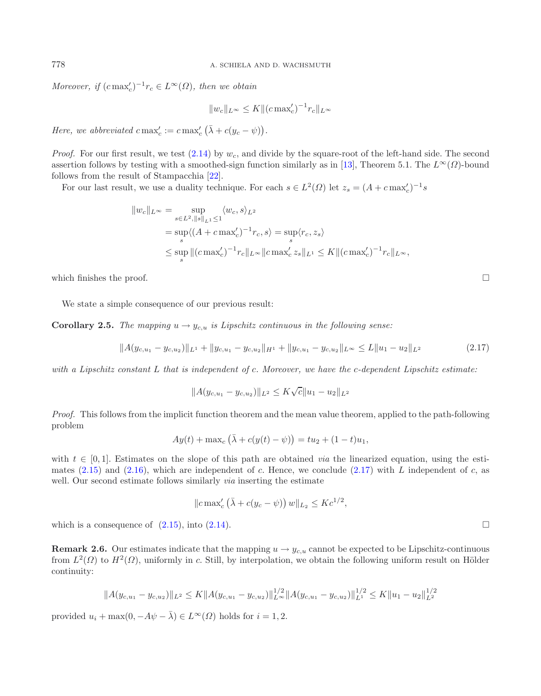*Moreover, if*  $(c \max_c')^{-1}r_c \in L^{\infty}(\Omega)$ *, then we obtain* 

<span id="page-7-1"></span><span id="page-7-0"></span>
$$
||w_c||_{L^{\infty}} \le K ||(c \max_c')^{-1} r_c||_{L^{\infty}}
$$

*Here, we abbreviated*  $c \max_c' := c \max_c' (\bar{\lambda} + c(y_c - \psi)).$ 

*Proof.* For our first result, we test  $(2.14)$  by  $w_c$ , and divide by the square-root of the left-hand side. The second assertion follows by testing with a smoothed-sign function similarly as in [\[13\]](#page-16-3), Theorem 5.1. The  $L^{\infty}(\Omega)$ -bound follows from the result of Stampacchia [\[22\]](#page-16-18).

For our last result, we use a duality technique. For each  $s \in L^2(\Omega)$  let  $z_s = (A + c \max_c')^{-1} s$ 

$$
||w_c||_{L^{\infty}} = \sup_{s \in L^2, ||s||_{L^1} \le 1} \langle w_c, s \rangle_{L^2}
$$
  
=  $\sup_s \langle (A + c \max_c')^{-1} r_c, s \rangle = \sup_s \langle r_c, z_s \rangle$   
 $\le \sup_s ||(c \max_c')^{-1} r_c||_{L^{\infty}} ||c \max_c' z_s||_{L^1} \le K ||(c \max_c')^{-1} r_c||_{L^{\infty}},$ 

which finishes the proof.

We state a simple consequence of our previous result:

**Corollary 2.5.** *The mapping*  $u \to y_{c,u}$  *is Lipschitz continuous in the following sense:* 

$$
||A(y_{c,u_1} - y_{c,u_2})||_{L^1} + ||y_{c,u_1} - y_{c,u_2}||_{H^1} + ||y_{c,u_1} - y_{c,u_2}||_{L^\infty} \le L||u_1 - u_2||_{L^2}
$$
\n(2.17)

*with a Lipschitz constant* L *that is independent of* c*. Moreover, we have the* c*-dependent Lipschitz estimate:*

$$
||A(y_{c,u_1} - y_{c,u_2})||_{L^2} \le K\sqrt{c}||u_1 - u_2||_{L^2}
$$

*Proof.* This follows from the implicit function theorem and the mean value theorem, applied to the path-following problem

$$
Ay(t) + \max_c (\bar{\lambda} + c(y(t) - \psi)) = tu_2 + (1 - t)u_1,
$$

with  $t \in [0, 1]$ . Estimates on the slope of this path are obtained *via* the linearized equation, using the esti-mates [\(2.15\)](#page-6-2) and [\(2.16\)](#page-6-3), which are independent of c. Hence, we conclude [\(2.17\)](#page-7-0) with L independent of c, as well. Our second estimate follows similarly *via* inserting the estimate

$$
||c\max_{c'}(\bar{\lambda}+c(y_c-\psi))w||_{L_2}\leq Kc^{1/2},
$$

which is a consequence of  $(2.15)$ , into  $(2.14)$ .

**Remark 2.6.** Our estimates indicate that the mapping  $u \to y_{c,u}$  cannot be expected to be Lipschitz-continuous from  $L^2(\Omega)$  to  $H^2(\Omega)$ , uniformly in c. Still, by interpolation, we obtain the following uniform result on Hölder continuity:

$$
||A(y_{c,u_1} - y_{c,u_2})||_{L^2} \le K||A(y_{c,u_1} - y_{c,u_2})||_{L^{\infty}}^{1/2} ||A(y_{c,u_1} - y_{c,u_2})||_{L^1}^{1/2} \le K||u_1 - u_2||_{L^2}^{1/2}
$$

provided  $u_i + \max(0, -A\psi - \bar{\lambda}) \in L^{\infty}(\Omega)$  holds for  $i = 1, 2$ .

 $\Box$ 

 $\Box$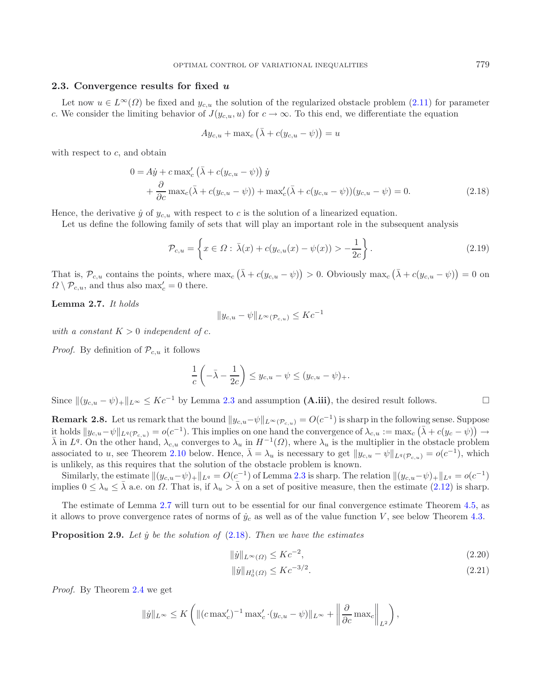### <span id="page-8-1"></span>**2.3. Convergence results for fixed** *u*

Let now  $u \in L^{\infty}(\Omega)$  be fixed and  $y_{c,u}$  the solution of the regularized obstacle problem [\(2.11\)](#page-5-0) for parameter c. We consider the limiting behavior of  $J(y_{c,u}, u)$  for  $c \to \infty$ . To this end, we differentiate the equation

$$
A y_{c,u} + \max_c (\bar{\lambda} + c(y_{c,u} - \psi)) = u
$$

with respect to  $c$ , and obtain

$$
0 = A\dot{y} + c \max_{c} \left( \bar{\lambda} + c(y_{c,u} - \psi) \right) \dot{y}
$$
  
+ 
$$
\frac{\partial}{\partial c} \max_{c} \left( \bar{\lambda} + c(y_{c,u} - \psi) \right) + \max_{c'} \left( \bar{\lambda} + c(y_{c,u} - \psi) \right) (y_{c,u} - \psi) = 0.
$$
 (2.18)

Hence, the derivative  $\dot{y}$  of  $y_{c,u}$  with respect to c is the solution of a linearized equation.

Let us define the following family of sets that will play an important role in the subsequent analysis

$$
\mathcal{P}_{c,u} = \left\{ x \in \Omega : \bar{\lambda}(x) + c(y_{c,u}(x) - \psi(x)) > -\frac{1}{2c} \right\}.
$$
\n(2.19)

That is,  $\mathcal{P}_{c,u}$  contains the points, where  $\max_c (\bar{\lambda} + c(y_{c,u} - \psi)) > 0$ . Obviously  $\max_c (\bar{\lambda} + c(y_{c,u} - \psi)) = 0$  on  $\Omega \setminus \mathcal{P}$  and thus also  $\max' = 0$  there  $\Omega \setminus \mathcal{P}_{c,u}$ , and thus also max $c' = 0$  there.

<span id="page-8-0"></span>**Lemma 2.7.** *It holds*

$$
||y_{c,u} - \psi||_{L^{\infty}(\mathcal{P}_{c,u})} \leq Kc^{-1}
$$

*with a constant*  $K > 0$  *independent* of *c*.

*Proof.* By definition of  $\mathcal{P}_{c,u}$  it follows

$$
\frac{1}{c}\left(-\bar{\lambda} - \frac{1}{2c}\right) \leq y_{c,u} - \psi \leq (y_{c,u} - \psi)_+.
$$

Since  $\|(y_{c,u} - \psi)_+\|_{L^\infty} \leq Kc^{-1}$  by Lemma [2.3](#page-5-3) and assumption  $(A.iii)$ , the desired result follows.

**Remark 2.8.** Let us remark that the bound  $||y_{c,u}-\psi||_{L^{\infty}(\mathcal{P}_{c,u})} = O(c^{-1})$  is sharp in the following sense. Suppose<br>it holds  $||u_{c,u}-\phi||_{L^{\infty}(\mathcal{P}_{c,u})}$  This implies on ano hand the convenience of  $\sum_{n=1}^{\infty} |g(u_{c,u}$ it holds  $||y_{c,u}-\psi||_{L^q(\mathcal{P}_{c,u})} = o(c^{-1})$ . This implies on one hand the convergence of  $\lambda_{c,u} := \max_c (\bar{\lambda} + c(y_c - \psi)) \rightarrow \bar{\lambda}$  in  $I^q$ . On the other hand  $\lambda$  converges to  $\lambda$  in  $H^{-1}(O)$  where  $\lambda$  is the multiplier in the obs  $\bar{\lambda}$  in  $L^q$ . On the other hand,  $\lambda_{c,u}$  converges to  $\lambda_u$  in  $H^{-1}(\Omega)$ , where  $\lambda_u$  is the multiplier in the obstacle problem associated to u, see Theorem [2.10](#page-9-0) below. Hence,  $\bar{\lambda} = \lambda_u$  is necessary to get  $||y_{c,u} - \psi||_{L^q(\mathcal{P}_{c,u})} = o(c^{-1})$ , which is unlikely, as this requires that the solution of the obstacle problem is known.

Similarly, the estimate  $\|(y_{c,u}-\psi)_+\|_{L^q} = O(c^{-1})$  of Lemma [2.3](#page-5-3) is sharp. The relation  $\|(y_{c,u}-\psi)_+\|_{L^q} = o(c^{-1})$ implies  $0 \leq \lambda_u \leq \bar{\lambda}$  a.e. on  $\Omega$ . That is, if  $\lambda_u > \bar{\lambda}$  on a set of positive measure, then the estimate [\(2.12\)](#page-5-1) is sharp.

The estimate of Lemma [2.7](#page-8-0) will turn out to be essential for our final convergence estimate Theorem [4.5,](#page-14-0) as it allows to prove convergence rates of norms of  $\dot{y}_c$  as well as of the value function V, see below Theorem [4.3.](#page-13-0)

**Proposition 2.9.** Let y be the solution of [\(2.18\)](#page-8-1). Then we have the estimates

$$
\|\dot{y}\|_{L^{\infty}(\Omega)} \le Kc^{-2},\tag{2.20}
$$

$$
\|\dot{y}\|_{H_0^1(\Omega)} \le K c^{-3/2}.\tag{2.21}
$$

*Proof.* By Theorem [2.4](#page-6-4) we get

$$
\|\dot{y}\|_{L^{\infty}} \leq K\left( \| (c \max_{c}')^{-1} \max_{c'} (y_{c,u} - \psi) \|_{L^{\infty}} + \left\| \frac{\partial}{\partial c} \max_{c} \right\|_{L^{2}} \right),\,
$$

<span id="page-8-3"></span><span id="page-8-2"></span> $\Box$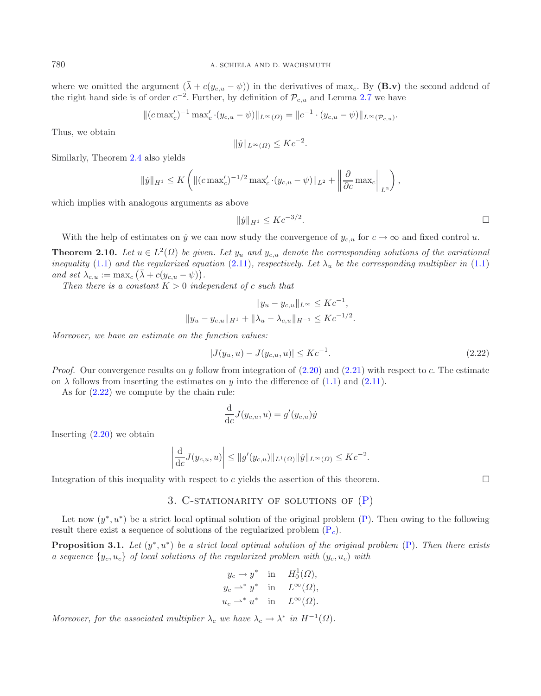where we omitted the argument  $(\bar{\lambda} + c(y_{c,u} - \psi))$  in the derivatives of max<sub>c</sub>. By (**B.v**) the second addend of the right hand side is of order  $c^{-2}$ . Further, by definition of  $\mathcal{P}_{c,u}$  and Lemma [2.7](#page-8-0) we have

$$
\|(c \max'_{c})^{-1} \max'_{c} \cdot (y_{c,u} - \psi)\|_{L^{\infty}(\Omega)} = \|c^{-1} \cdot (y_{c,u} - \psi)\|_{L^{\infty}(\mathcal{P}_{c,u})}.
$$

Thus, we obtain

<span id="page-9-0"></span>
$$
\|\dot{y}\|_{L^{\infty}(\Omega)} \leq Kc^{-2}.
$$

Similarly, Theorem [2.4](#page-6-4) also yields

$$
\|\dot{y}\|_{H^1} \le K \left( \| (c \max_c')^{-1/2} \max_c' \cdot (y_{c,u} - \psi) \|_{L^2} + \left\| \frac{\partial}{\partial c} \max_c \right\|_{L^2} \right),
$$

which implies with analogous arguments as above

<span id="page-9-1"></span>
$$
||\dot{y}||_{H^1} \le Kc^{-3/2}.
$$

With the help of estimates on  $\dot{y}$  we can now study the convergence of  $y_{c,u}$  for  $c \to \infty$  and fixed control u.

**Theorem 2.10.** *Let*  $u \in L^2(\Omega)$  *be given. Let*  $y_u$  *and*  $y_{c,u}$  *denote the corresponding solutions of the variational inequality* [\(1.1\)](#page-0-0) and the regularized equation [\(2.11\)](#page-5-0), respectively. Let  $\lambda_u$  be the corresponding multiplier in (1.1) and set  $\lambda_{c,u} := \max_c (\bar{\lambda} + c(y_{c,u} - \psi)).$ <br>Then there is a constant  $K > 0$  index

*Then there is a constant*  $K > 0$  *independent* of *c such that* 

$$
||y_u - y_{c,u}||_{L^{\infty}} \leq Kc^{-1},
$$
  

$$
||y_u - y_{c,u}||_{H^1} + ||\lambda_u - \lambda_{c,u}||_{H^{-1}} \leq Kc^{-1/2}.
$$

*Moreover, we have an estimate on the function values:*

$$
|J(y_u, u) - J(y_{c,u}, u)| \le Kc^{-1}.
$$
\n(2.22)

*Proof.* Our convergence results on y follow from integration of  $(2.20)$  and  $(2.21)$  with respect to c. The estimate on  $\lambda$  follows from inserting the estimates on y into the difference of [\(1.1\)](#page-0-0) and [\(2.11\)](#page-5-0).

As for [\(2.22\)](#page-9-1) we compute by the chain rule:

$$
\frac{\mathrm{d}}{\mathrm{d}c}J(y_{c,u},u) = g'(y_{c,u})\dot{y}
$$

Inserting  $(2.20)$  we obtain

$$
\left| \frac{d}{dc} J(y_{c,u}, u) \right| \leq ||g'(y_{c,u})||_{L^1(\Omega)} ||\dot{y}||_{L^{\infty}(\Omega)} \leq Kc^{-2}.
$$

Integration of this inequality with respect to  $c$  yields the assertion of this theorem.  $\Box$ 

## 3. C-STATIONARITY OF SOLUTIONS OF  $(P)$

Let now  $(y^*, u^*)$  be a strict local optimal solution of the original problem [\(P\)](#page-0-0). Then owing to the following result there exist a sequence of solutions of the regularized problem  $(P_c)$  $(P_c)$ .

**Proposition 3.1.** *Let* (y<sup>∗</sup>, u<sup>∗</sup>) *be a strict local optimal solution of the original problem* [\(P\)](#page-0-0)*. Then there exists a sequence*  $\{y_c, u_c\}$  *of local solutions of the regularized problem with*  $(y_c, u_c)$  *with* 

$$
y_c \to y^*
$$
 in  $H_0^1(\Omega)$ ,  
\n $y_c \to^* y^*$  in  $L^{\infty}(\Omega)$ ,  
\n $u_c \to^* u^*$  in  $L^{\infty}(\Omega)$ .

*Moreover, for the associated multiplier*  $\lambda_c$  *we have*  $\lambda_c \to \lambda^*$  *in*  $H^{-1}(\Omega)$ *.*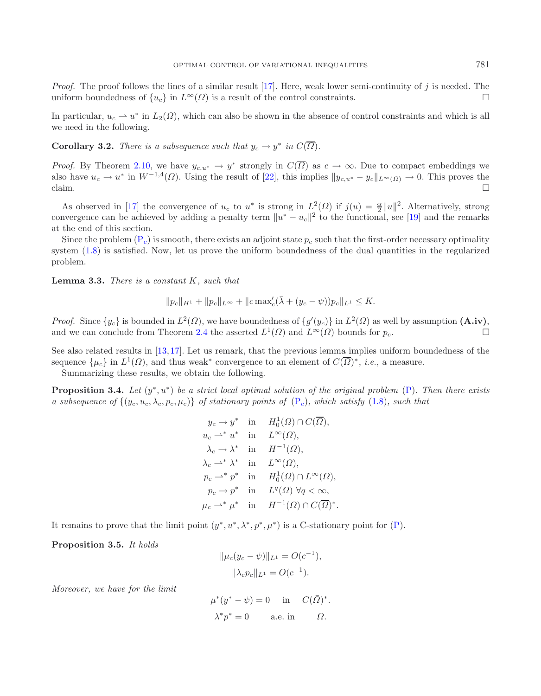*Proof.* The proof follows the lines of a similar result [\[17](#page-16-4)]. Here, weak lower semi-continuity of j is needed. The uniform boundedness of  $\{y_{\alpha}\}$  in  $L^{\infty}(Q)$  is a result of the control constraints uniform boundedness of  $\{u_c\}$  in  $L^{\infty}(\Omega)$  is a result of the control constraints.

In particular,  $u_c \rightharpoonup u^*$  in  $L_2(\Omega)$ , which can also be shown in the absence of control constraints and which is all we need in the following.

**Corollary 3.2.** *There is a subsequence such that*  $y_c \to y^*$  *in*  $C(\overline{\Omega})$ *.* 

*Proof.* By Theorem [2.10,](#page-9-0) we have  $y_{c,u^*} \to y^*$  strongly in  $C(\overline{\Omega})$  as  $c \to \infty$ . Due to compact embeddings we also have  $u_c \to u^*$  in  $W^{-1,4}(\Omega)$ . Using the result of [\[22\]](#page-16-18), this implies  $||y_{c,u^*} - y_c||_{L^\infty(\Omega)} \to 0$ . This proves the claim.

As observed in [\[17\]](#page-16-4) the convergence of  $u_c$  to  $u^*$  is strong in  $L^2(\Omega)$  if  $j(u) = \frac{\alpha}{2} ||u||^2$ . Alternatively, strong overgence can be achieved by adding a penalty term  $||u^* - u||^2$  to the functional see [19] and the rem convergence can be achieved by adding a penalty term  $||u^* - u_c||^2$  to the functional, see [\[19](#page-16-11)] and the remarks at the end of this section at the end of this section.

Since the problem  $(P_c)$  $(P_c)$  is smooth, there exists an adjoint state  $p_c$  such that the first-order necessary optimality system [\(1.8\)](#page-3-0) is satisfied. Now, let us prove the uniform boundedness of the dual quantities in the regularized problem.

<span id="page-10-0"></span>**Lemma 3.3.** *There is a constant* K*, such that*

<span id="page-10-1"></span>
$$
||p_c||_{H^1} + ||p_c||_{L^{\infty}} + ||c \max_c'(\bar{\lambda} + (y_c - \psi))p_c||_{L^1} \leq K.
$$

*Proof.* Since  $\{y_c\}$  is bounded in  $L^2(\Omega)$ , we have boundedness of  $\{g'(y_c)\}\$  in  $L^2(\Omega)$  as well by assumption  $(A.\mathbf{iv})$ , and we can conclude from Theorem [2.4](#page-6-4) the asserted  $L^1(\Omega)$  and  $L^{\infty}(\Omega)$  bounds for  $p_c$ .

See also related results in [\[13,](#page-16-3)[17\]](#page-16-4). Let us remark, that the previous lemma implies uniform boundedness of the sequence  $\{\mu_c\}$  in  $L^1(\Omega)$ , and thus weak<sup>∗</sup> convergence to an element of  $C(\overline{\Omega})^*$ , *i.e.*, a measure.

Summarizing these results, we obtain the following.

**Proposition 3.4.** *Let* (y<sup>∗</sup>, u<sup>∗</sup>) *be a strict local optimal solution of the original problem* [\(P\)](#page-0-0)*. Then there exists a subsequence of*  $\{(y_c, u_c, \lambda_c, p_c, \mu_c)\}\$  *of stationary points of*  $(P_c)$  $(P_c)$ *, which satisfy* [\(1.8\)](#page-3-0)*, such that* 

$$
y_c \to y^* \quad \text{in} \quad H_0^1(\Omega) \cap C(\overline{\Omega}),
$$
  
\n
$$
u_c \to^* u^* \quad \text{in} \quad L^{\infty}(\Omega),
$$
  
\n
$$
\lambda_c \to \lambda^* \quad \text{in} \quad H^{-1}(\Omega),
$$
  
\n
$$
\lambda_c \to^* \lambda^* \quad \text{in} \quad L^{\infty}(\Omega),
$$
  
\n
$$
p_c \to^* p^* \quad \text{in} \quad H_0^1(\Omega) \cap L^{\infty}(\Omega),
$$
  
\n
$$
p_c \to p^* \quad \text{in} \quad L^q(\Omega) \ \forall q < \infty,
$$
  
\n
$$
\mu_c \to^* \mu^* \quad \text{in} \quad H^{-1}(\Omega) \cap C(\overline{\Omega})^*.
$$

<span id="page-10-2"></span>It remains to prove that the limit point  $(y^*, u^*, \lambda^*, p^*, \mu^*)$  is a C-stationary point for [\(P\)](#page-0-0).

**Proposition 3.5.** *It holds*

$$
\|\mu_c(y_c - \psi)\|_{L^1} = O(c^{-1}),
$$
  

$$
\|\lambda_c p_c\|_{L^1} = O(c^{-1}).
$$

*Moreover, we have for the limit*

$$
\mu^*(y^* - \psi) = 0 \quad \text{in} \quad C(\bar{\Omega})^*.
$$
  

$$
\lambda^* p^* = 0 \qquad \text{a.e. in} \qquad \Omega.
$$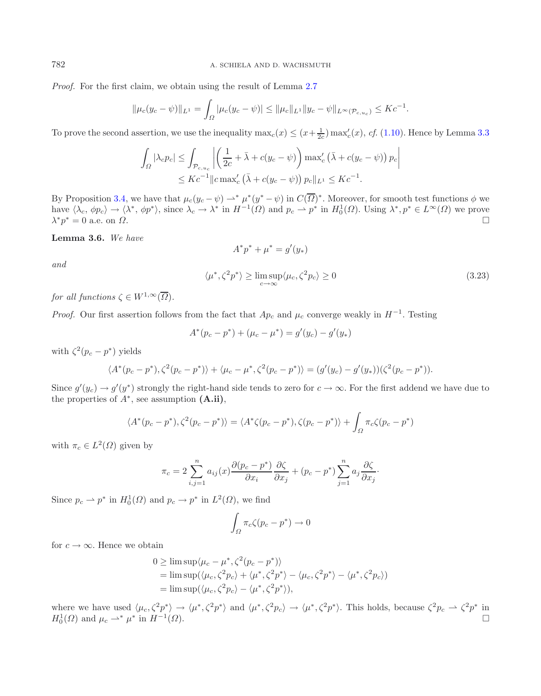*Proof.* For the first claim, we obtain using the result of Lemma [2.7](#page-8-0)

$$
\|\mu_c(y_c - \psi)\|_{L^1} = \int_{\Omega} |\mu_c(y_c - \psi)| \le \|\mu_c\|_{L^1} \|y_c - \psi\|_{L^\infty(\mathcal{P}_{c,u_c})} \le Kc^{-1}.
$$

<span id="page-11-0"></span>To prove the second assertion, we use the inequality  $\max_c(x) \le (x + \frac{1}{2c}) \max_c(x)$ , *cf.* [\(1.10\)](#page-5-2). Hence by Lemma [3.3](#page-10-0)

$$
\int_{\Omega} |\lambda_c p_c| \leq \int_{\mathcal{P}_{c,u_c}} \left| \left( \frac{1}{2c} + \bar{\lambda} + c(y_c - \psi) \right) \max_c' \left( \bar{\lambda} + c(y_c - \psi) \right) p_c \right|
$$
  

$$
\leq Kc^{-1} ||c \max_c' \left( \bar{\lambda} + c(y_c - \psi) \right) p_c ||_{L^1} \leq Kc^{-1}.
$$

By Proposition [3.4,](#page-10-1) we have that  $\mu_c(y_c - \psi) \to^* \mu^*(y^* - \psi)$  in  $C(\overline{\Omega})^*$ . Moreover, for smooth test functions  $\phi$  we have  $\langle \lambda_c, \phi p_c \rangle \to \langle \lambda^*, \phi p^* \rangle$ , since  $\lambda_c \to \lambda^*$  in  $H^{-1}(\Omega)$  and  $p_c \to p^*$  in  $H_0^1(\Omega)$ . Using  $\lambda^*, p^* \in L^{\infty}(\Omega)$  we prove  $\lambda^* p^* = 0$  a.e. on  $\Omega$ .  $\Box$ 

**Lemma 3.6.** *We have*

$$
A^* p^* + \mu^* = g'(y_*)
$$

*and*

$$
\langle \mu^*, \zeta^2 p^* \rangle \ge \limsup_{c \to \infty} \langle \mu_c, \zeta^2 p_c \rangle \ge 0
$$
\n(3.23)

*for all functions*  $\zeta \in W^{1,\infty}(\overline{\Omega})$ *.* 

*Proof.* Our first assertion follows from the fact that  $Ap_c$  and  $\mu_c$  converge weakly in  $H^{-1}$ . Testing

$$
A^*(p_c - p^*) + (\mu_c - \mu^*) = g'(y_c) - g'(y_*)
$$

with  $\zeta^2(p_c - p^*)$  yields

$$
\langle A^*(p_c - p^*), \zeta^2(p_c - p^*) \rangle + \langle \mu_c - \mu^*, \zeta^2(p_c - p^*) \rangle = (g'(y_c) - g'(y_*))(\zeta^2(p_c - p^*)).
$$

Since  $g'(y_c) \to g'(y^*)$  strongly the right-hand side tends to zero for  $c \to \infty$ . For the first addend we have due to the properties of  $A^*$  see assumption (A ii) the properties of  $A^*$ , see assumption  $(A.ii)$ ,

$$
\langle A^*(p_c - p^*), \zeta^2(p_c - p^*) \rangle = \langle A^*\zeta(p_c - p^*), \zeta(p_c - p^*) \rangle + \int_{\Omega} \pi_c \zeta(p_c - p^*)
$$

with  $\pi_c \in L^2(\Omega)$  given by

$$
\pi_c = 2 \sum_{i,j=1}^n a_{ij}(x) \frac{\partial (p_c - p^*)}{\partial x_i} \frac{\partial \zeta}{\partial x_j} + (p_c - p^*) \sum_{j=1}^n a_j \frac{\partial \zeta}{\partial x_j}.
$$

Since  $p_c \rightharpoonup p^*$  in  $H_0^1(\Omega)$  and  $p_c \rightharpoonup p^*$  in  $L^2(\Omega)$ , we find

$$
\int_{\Omega} \pi_c \zeta (p_c - p^*) \to 0
$$

for  $c \to \infty$ . Hence we obtain

$$
0 \ge \limsup \langle \mu_c - \mu^*, \zeta^2 (p_c - p^*) \rangle
$$
  
=  $\limsup \langle \langle \mu_c, \zeta^2 p_c \rangle + \langle \mu^*, \zeta^2 p^* \rangle - \langle \mu_c, \zeta^2 p^* \rangle - \langle \mu^*, \zeta^2 p_c \rangle$   
=  $\limsup (\langle \mu_c, \zeta^2 p_c \rangle - \langle \mu^*, \zeta^2 p^* \rangle),$ 

where we have used  $\langle \mu_c, \zeta^2 p^* \rangle \to \langle \mu^*, \zeta^2 p^* \rangle$  and  $\langle \mu^*, \zeta^2 p_c \rangle \to \langle \mu^*, \zeta^2 p^* \rangle$ . This holds, because  $\zeta^2 p_c \to \zeta^2 p^*$  in  $H^1(O)$  and  $\mu \to^* \mu^*$  in  $H^{-1}(O)$  $H_0^1(\Omega)$  and  $\mu_c \rightharpoonup^* \mu^*$  in  $H^{-1}(\Omega)$ .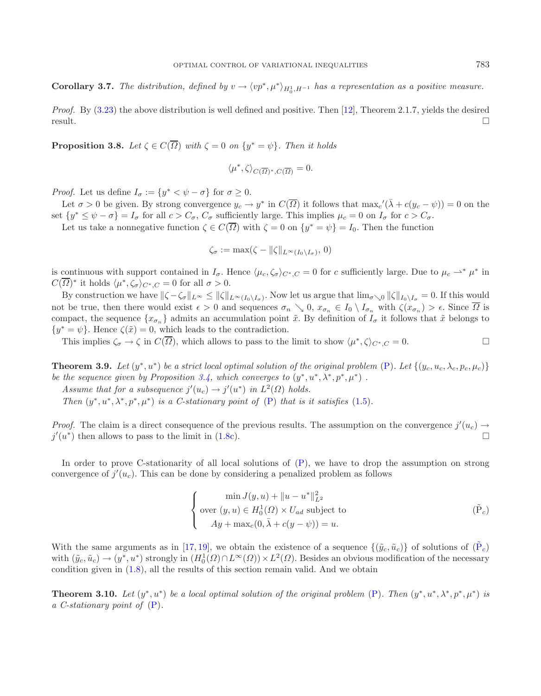**Corollary 3.7.** *The distribution, defined by*  $v \to \langle vp^*, \mu^* \rangle_{H_0^1, H^{-1}}$  *has a representation as a positive measure.* 

*Proof.* By [\(3.23\)](#page-11-0) the above distribution is well defined and positive. Then [\[12](#page-16-19)], Theorem 2.1.7, yields the desired  $\Box$  result.

**Proposition 3.8.** *Let*  $\zeta \in C(\overline{\Omega})$  *with*  $\zeta = 0$  *on*  $\{y^* = \psi\}$ *. Then it holds* 

$$
\langle \mu^*, \zeta \rangle_{C(\overline{\Omega})^*, C(\overline{\Omega})} = 0.
$$

*Proof.* Let us define  $I_{\sigma} := \{y^* \lt \psi - \sigma\}$  for  $\sigma \geq 0$ .

Let  $\sigma > 0$  be given. By strong convergence  $y_c \to y^*$  in  $C(\overline{\Omega})$  it follows that  $\max_c'(\overline{\lambda} + c(y_c - \psi)) = 0$  on the  $\{y^* \le y^* - \sigma\} - I$  for all  $c > C$  cufficiently large. This implies  $\mu_c = 0$  on  $I$  for  $c > C$ set  $\{y^* \le \psi - \sigma\} = I_{\sigma}$  for all  $c > C_{\sigma}$ ,  $C_{\sigma}$  sufficiently large. This implies  $\mu_c = 0$  on  $I_{\sigma}$  for  $c > C_{\sigma}$ .

Let us take a nonnegative function  $\zeta \in C(\overline{\Omega})$  with  $\zeta = 0$  on  $\{y^* = \psi\} = I_0$ . Then the function

<span id="page-12-1"></span>
$$
\zeta_{\sigma} := \max(\zeta - \|\zeta\|_{L^{\infty}(I_0 \setminus I_{\sigma})}, 0)
$$

is continuous with support contained in  $I_{\sigma}$ . Hence  $\langle \mu_c, \zeta_{\sigma} \rangle_{C^*,C} = 0$  for c sufficiently large. Due to  $\mu_c \rightharpoonup^* \mu^*$  in  $C(\overline{\Omega})^*$  it holds  $\langle \mu^*, \zeta_{\sigma} \rangle_{C^*,C} = 0$  for all  $\sigma > 0$ .

By construction we have  $\|\zeta - \zeta_{\sigma}\|_{L^{\infty}} \le \|\zeta\|_{L^{\infty}(I_0 \setminus I_{\sigma})}$ . Now let us argue that  $\lim_{\sigma \searrow 0} \|\zeta\|_{I_0 \setminus I_{\sigma}} = 0$ . If this would not be true, then there would exist  $\epsilon > 0$  and sequences  $\sigma_n \searrow 0$ ,  $x_{\sigma_n} \in I_0 \setminus I_{\sigma_n}$  with  $\zeta(x_{\sigma_n}) > \epsilon$ . Since  $\overline{\Omega}$  is compact, the sequence  $\{x_{\sigma_n}\}\$  admits an accumulation point  $\tilde{x}$ . By definition of  $I_{\sigma}$  it follows that  $\tilde{x}$  belongs to  $\{y^* = \psi\}$ . Hence  $\zeta(\tilde{x}) = 0$ , which leads to the contradiction.

This implies  $\zeta_{\sigma} \to \zeta$  in  $C(\overline{\Omega})$ , which allows to pass to the limit to show  $\langle \mu^*, \zeta \rangle_{C^*, C} = 0$ .

<span id="page-12-0"></span>**Theorem 3.9.** *Let*  $(y^*, u^*)$  *be a strict local optimal solution of the original problem* [\(P\)](#page-0-0)*. Let*  $\{(y_c, u_c, \lambda_c, p_c, \mu_c)\}$ *be the sequence given by Proposition* [3.4,](#page-10-1) which converges to  $(y^*, u^*, \lambda^*, p^*, \mu^*)$ .

*Assume that for a subsequence*  $j'(u_c) \to j'(u^*)$  *in*  $L^2(\Omega)$  *holds.*<br>Then  $(u^*, u^*, u^*, u^*)$  is a C stationary noint of  $(\Omega)$  that is a

*Then*  $(y^*, u^*, \lambda^*, p^*, \mu^*)$  *is a C-stationary point of* [\(P\)](#page-0-0) *that is it satisfies* [\(1.5\)](#page-1-7)*.* 

*Proof.* The claim is a direct consequence of the previous results. The assumption on the convergence  $j'(u_c) \rightarrow$ <br> $i'(u^*)$  then allows to pass to the limit in (1.8c)  $j'(u^*)$  then allows to pass to the limit in [\(1.8c\)](#page-3-1).

In order to prove C-stationarity of all local solutions of [\(P\)](#page-0-0), we have to drop the assumption on strong convergence of  $j'(u_c)$ . This can be done by considering a penalized problem as follows

$$
\begin{cases}\n\min J(y, u) + \|u - u^*\|_{L^2}^2 \\
\text{over } (y, u) \in H_0^1(\Omega) \times U_{ad} \text{ subject to} \\
Ay + \max_c(0, \bar{\lambda} + c(y - \psi)) = u.\n\end{cases} \tag{Pc}
$$

With the same arguments as in [\[17,](#page-16-4) [19](#page-16-11)], we obtain the existence of a sequence  $\{(\tilde{y}_c, \tilde{u}_c)\}\$  of solutions of  $(\tilde{P}_c)$ with  $(\tilde{y}_c, \tilde{u}_c) \to (y^*, u^*)$  strongly in  $(H_0^1(\Omega) \cap L^\infty(\Omega)) \times L^2(\Omega)$ . Besides an obvious modification of the necessary condition given in (1.8) all the results of this section remain valid. And we obtain condition given in [\(1.8\)](#page-3-0), all the results of this section remain valid. And we obtain

**Theorem 3.10.** *Let*  $(y^*, u^*)$  *be a local optimal solution of the original problem* [\(P\)](#page-0-0). *Then*  $(y^*, u^*, \lambda^*, p^*, \mu^*)$  *is a C-stationary point of* [\(P\)](#page-0-0)*.*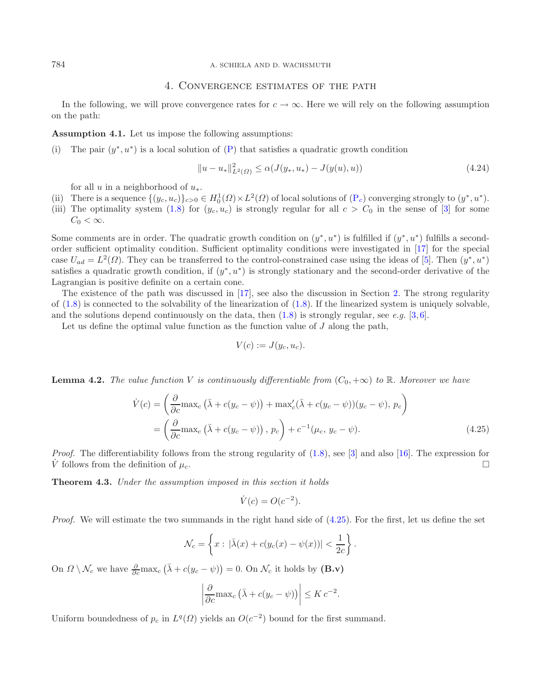784 A. SCHIELA AND D. WACHSMUTH

## <span id="page-13-2"></span>4. Convergence estimates of the path

In the following, we will prove convergence rates for  $c \to \infty$ . Here we will rely on the following assumption on the path:

**Assumption 4.1.** Let us impose the following assumptions:

(i) The pair  $(y^*, u^*)$  is a local solution of  $(P)$  that satisfies a quadratic growth condition

$$
||u - u_*||_{L^2(\Omega)}^2 \le \alpha(J(y_*, u_*) - J(y(u), u))
$$
\n(4.24)

for all u in a neighborhood of  $u_*$ .

- (ii) There is a sequence  $\{(y_c, u_c)\}_{c>0} \in H_0^1(\Omega) \times L^2(\Omega)$  of local solutions of  $(P_c)$  $(P_c)$  converging strongly to  $(y^*, u^*)$ .<br>(iii) The optimality system (1.8) for  $(u, u)$  is strongly regular for all  $c > C_0$  in the sense of [3]
- (iii) The optimality system [\(1.8\)](#page-3-0) for  $(y_c, u_c)$  is strongly regular for all  $c > C_0$  in the sense of [\[3](#page-16-20)] for some  $C_0 < \infty$ .

Some comments are in order. The quadratic growth condition on  $(y^*, u^*)$  is fulfilled if  $(y^*, u^*)$  fulfills a secondorder sufficient optimality condition. Sufficient optimality conditions were investigated in [\[17\]](#page-16-4) for the special case  $U_{ad} = L^2(\Omega)$ . They can be transferred to the control-constrained case using the ideas of [\[5\]](#page-16-21). Then  $(y^*, u^*)$ satisfies a quadratic growth condition, if  $(y^*, u^*)$  is strongly stationary and the second-order derivative of the Lagrangian is positive definite on a certain cone.

The existence of the path was discussed in [\[17\]](#page-16-4), see also the discussion in Section [2.](#page-5-4) The strong regularity of  $(1.8)$  is connected to the solvability of the linearization of  $(1.8)$ . If the linearized system is uniquely solvable, and the solutions depend continuously on the data, then  $(1.8)$  is strongly regular, see *e.g.* [\[3,](#page-16-20)[6\]](#page-16-22).

Let us define the optimal value function as the function value of  $J$  along the path,

<span id="page-13-1"></span>
$$
V(c) := J(y_c, u_c).
$$

**Lemma 4.2.** *The value function* V *is continuously differentiable from*  $(C_0, +\infty)$  *to* R*. Moreover we have* 

$$
\dot{V}(c) = \left(\frac{\partial}{\partial c}\max_{c} \left(\bar{\lambda} + c(y_c - \psi)\right) + \max_{c'} (\bar{\lambda} + c(y_c - \psi))(y_c - \psi), p_c\right)
$$
\n
$$
= \left(\frac{\partial}{\partial c}\max_{c} \left(\bar{\lambda} + c(y_c - \psi)\right), p_c\right) + c^{-1}(\mu_c, y_c - \psi). \tag{4.25}
$$

*Proof.* The differentiability follows from the strong regularity of  $(1.8)$ , see [\[3\]](#page-16-20) and also [\[16](#page-16-0)]. The expression for V follows from the definition of  $\mu_c$ .

<span id="page-13-0"></span>**Theorem 4.3.** *Under the assumption imposed in this section it holds*

$$
\dot{V}(c) = O(c^{-2}).
$$

*Proof.* We will estimate the two summands in the right hand side of [\(4.25\)](#page-13-1). For the first, let us define the set

$$
\mathcal{N}_c = \left\{ x : |\bar{\lambda}(x) + c(y_c(x) - \psi(x))| < \frac{1}{2c} \right\}.
$$

On  $\Omega \setminus \mathcal{N}_c$  we have  $\frac{\partial}{\partial c} \max_c (\bar{\lambda} + c(y_c - \psi)) = 0$ . On  $\mathcal{N}_c$  it holds by  $(B.v)$ 

$$
\left| \frac{\partial}{\partial c} \max_c \left( \bar{\lambda} + c(y_c - \psi) \right) \right| \leq K c^{-2}.
$$

Uniform boundedness of  $p_c$  in  $L^q(\Omega)$  yields an  $O(c^{-2})$  bound for the first summand.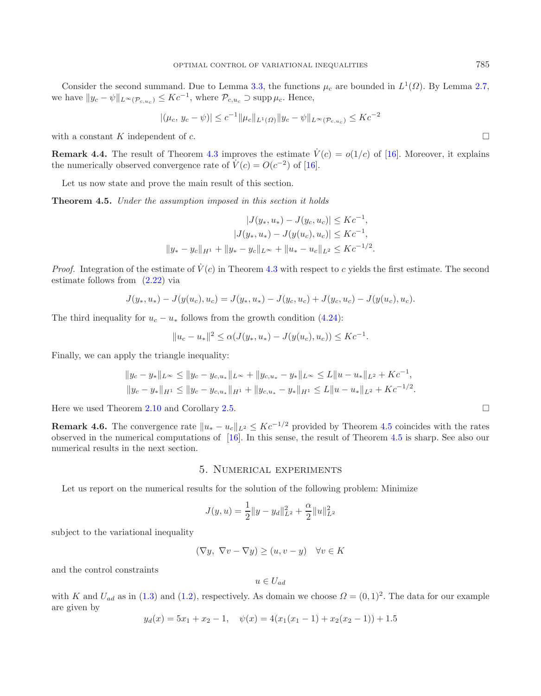Consider the second summand. Due to Lemma [3.3,](#page-10-0) the functions  $\mu_c$  are bounded in  $L^1(\Omega)$ . By Lemma [2.7,](#page-8-0) we have  $||y_c - \psi||_{L^{\infty}(\mathcal{P}_{c,u_c})} \leq Kc^{-1}$ , where  $\mathcal{P}_{c,u_c} \supset \text{supp }\mu_c$ . Hence,

$$
|(\mu_c, y_c - \psi)| \le c^{-1} \|\mu_c\|_{L^1(\Omega)} \|y_c - \psi\|_{L^\infty(\mathcal{P}_{c,u_c})} \le Kc^{-2}
$$

with a constant K independent of c.  $\Box$ 

**Remark 4.4.** The result of Theorem [4.3](#page-13-0) improves the estimate  $\dot{V}(c) = o(1/c)$  of [\[16](#page-16-0)]. Moreover, it explains the numerically observed convergence rate of  $\dot{V}(c) = O(c^{-2})$  of [\[16\]](#page-16-0).

Let us now state and prove the main result of this section.

<span id="page-14-0"></span>**Theorem 4.5.** *Under the assumption imposed in this section it holds*

$$
|J(y_*, u_*) - J(y_c, u_c)| \leq Kc^{-1},
$$
  

$$
|J(y_*, u_*) - J(y(u_c), u_c)| \leq Kc^{-1},
$$
  

$$
||y_* - y_c||_{H^1} + ||y_* - y_c||_{L^{\infty}} + ||u_* - u_c||_{L^2} \leq Kc^{-1/2}.
$$

*Proof.* Integration of the estimate of  $\dot{V}(c)$  in Theorem [4.3](#page-13-0) with respect to c yields the first estimate. The second estimate follows from [\(2.22\)](#page-9-1) via

$$
J(y_*, u_*) - J(y(u_c), u_c) = J(y_*, u_*) - J(y_c, u_c) + J(y_c, u_c) - J(y(u_c), u_c).
$$

The third inequality for  $u_c - u_*$  follows from the growth condition [\(4.24\)](#page-13-2):

$$
||u_c - u_*||^2 \leq \alpha(J(y_*, u_*) - J(y(u_c), u_c)) \leq Kc^{-1}.
$$

Finally, we can apply the triangle inequality:

$$
||y_c - y_*||_{L^{\infty}} \le ||y_c - y_{c,u_*}||_{L^{\infty}} + ||y_{c,u_*} - y_*||_{L^{\infty}} \le L||u - u_*||_{L^2} + Kc^{-1},
$$
  

$$
||y_c - y_*||_{H^1} \le ||y_c - y_{c,u_*}||_{H^1} + ||y_{c,u_*} - y_*||_{H^1} \le L||u - u_*||_{L^2} + Kc^{-1/2}.
$$

Here we used Theorem [2.10](#page-9-0) and Corollary [2.5.](#page-7-1)  $\Box$ 

**Remark 4.6.** The convergence rate  $||u_* - u_c||_{L^2} \leq Kc^{-1/2}$  provided by Theorem [4.5](#page-14-0) coincides with the rates observed in the numerical computations of [16]. In this sense, the result of Theorem 4.5 is sharp. See also our observed in the numerical computations of [\[16](#page-16-0)]. In this sense, the result of Theorem [4.5](#page-14-0) is sharp. See also our numerical results in the next section.

## 5. Numerical experiments

Let us report on the numerical results for the solution of the following problem: Minimize

$$
J(y, u) = \frac{1}{2} ||y - y_d||_{L^2}^2 + \frac{\alpha}{2} ||u||_{L^2}^2
$$

subject to the variational inequality

$$
(\nabla y, \ \nabla v - \nabla y) \ge (u, v - y) \quad \forall v \in K
$$

and the control constraints

$$
u \in U_{ad}
$$

with K and  $U_{ad}$  as in [\(1.3\)](#page-1-8) and [\(1.2\)](#page-0-1), respectively. As domain we choose  $\Omega = (0,1)^2$ . The data for our example are given by

$$
y_d(x) = 5x_1 + x_2 - 1
$$
,  $\psi(x) = 4(x_1(x_1 - 1) + x_2(x_2 - 1)) + 1.5$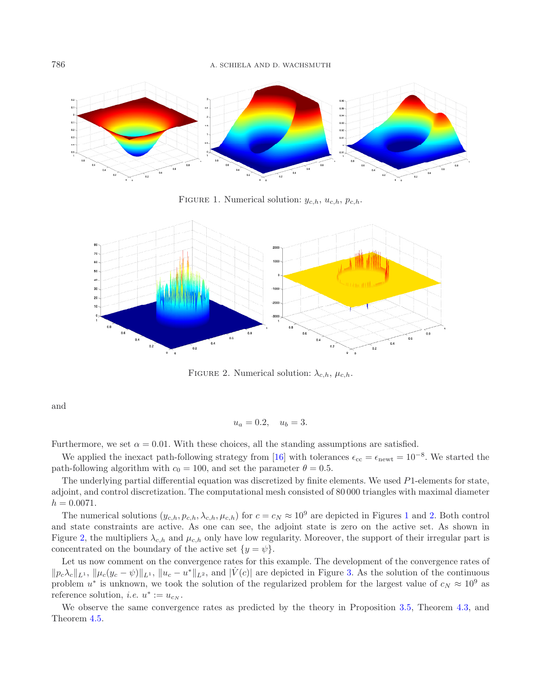<span id="page-15-0"></span>

<span id="page-15-1"></span>FIGURE 1. Numerical solution:  $y_{c,h}$ ,  $u_{c,h}$ ,  $p_{c,h}$ .



FIGURE 2. Numerical solution:  $\lambda_{c,h}$ ,  $\mu_{c,h}$ .

and

$$
u_a = 0.2, \quad u_b = 3.
$$

Furthermore, we set  $\alpha = 0.01$ . With these choices, all the standing assumptions are satisfied.

We applied the inexact path-following strategy from [\[16](#page-16-0)] with tolerances  $\epsilon_{\rm cc} = \epsilon_{\rm newt} = 10^{-8}$ . We started the path-following algorithm with  $c_0 = 100$ , and set the parameter  $\theta = 0.5$ .

The underlying partial differential equation was discretized by finite elements. We used P1-elements for state, adjoint, and control discretization. The computational mesh consisted of 80 000 triangles with maximal diameter  $h = 0.0071.$ 

The numerical solutions  $(y_{c,h}, p_{c,h}, \lambda_{c,h}, \mu_{c,h})$  for  $c = c_N \approx 10^9$  $c = c_N \approx 10^9$  $c = c_N \approx 10^9$  are depicted in Figures 1 and [2.](#page-15-1) Both control and state constraints are active. As one can see, the adjoint state is zero on the active set. As shown in Figure [2,](#page-15-1) the multipliers  $\lambda_{c,h}$  and  $\mu_{c,h}$  only have low regularity. Moreover, the support of their irregular part is concentrated on the boundary of the active set  $\{y = \psi\}.$ 

Let us now comment on the convergence rates for this example. The development of the convergence rates of  $\|p_c \lambda_c\|_{L^1}$ ,  $\|\mu_c(y_c - \psi)\|_{L^1}$ ,  $\|u_c - u^*\|_{L^2}$ , and  $|\dot{V}(c)|$  are depicted in Figure [3.](#page-16-23) As the solution of the continuous problem  $u^*$  is unknown, we took the solution of the regularized problem for the largest v problem  $u^*$  is unknown, we took the solution of the regularized problem for the largest value of  $c_N \approx 10^9$  as reference solution, *i.e.*  $u^* := u_{c_N}$ .

We observe the same convergence rates as predicted by the theory in Proposition [3.5,](#page-10-2) Theorem [4.3,](#page-13-0) and Theorem [4.5.](#page-14-0)